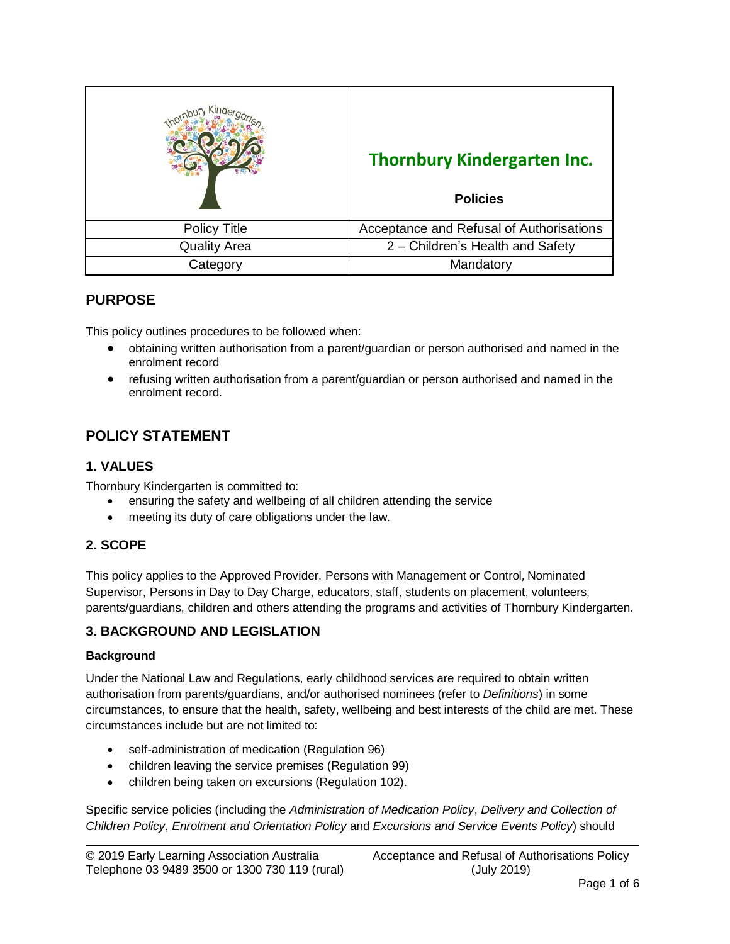|                     | <b>Thornbury Kindergarten Inc.</b><br><b>Policies</b> |
|---------------------|-------------------------------------------------------|
| <b>Policy Title</b> | Acceptance and Refusal of Authorisations              |
| <b>Quality Area</b> | 2 - Children's Health and Safety                      |
| Category            | Mandatory                                             |

# **PURPOSE**

This policy outlines procedures to be followed when:

- obtaining written authorisation from a parent/guardian or person authorised and named in the enrolment record
- refusing written authorisation from a parent/guardian or person authorised and named in the enrolment record.

# **POLICY STATEMENT**

### **1. VALUES**

Thornbury Kindergarten is committed to:

- ensuring the safety and wellbeing of all children attending the service
- meeting its duty of care obligations under the law.

### **2. SCOPE**

This policy applies to the Approved Provider, Persons with Management or Control, Nominated Supervisor, Persons in Day to Day Charge, educators, staff, students on placement, volunteers, parents/guardians, children and others attending the programs and activities of Thornbury Kindergarten.

### **3. BACKGROUND AND LEGISLATION**

#### **Background**

Under the National Law and Regulations, early childhood services are required to obtain written authorisation from parents/guardians, and/or authorised nominees (refer to *Definitions*) in some circumstances, to ensure that the health, safety, wellbeing and best interests of the child are met. These circumstances include but are not limited to:

- self-administration of medication (Regulation 96)
- children leaving the service premises (Regulation 99)
- children being taken on excursions (Regulation 102).

Specific service policies (including the *Administration of Medication Policy*, *Delivery and Collection of Children Policy*, *Enrolment and Orientation Policy* and *Excursions and Service Events Policy*) should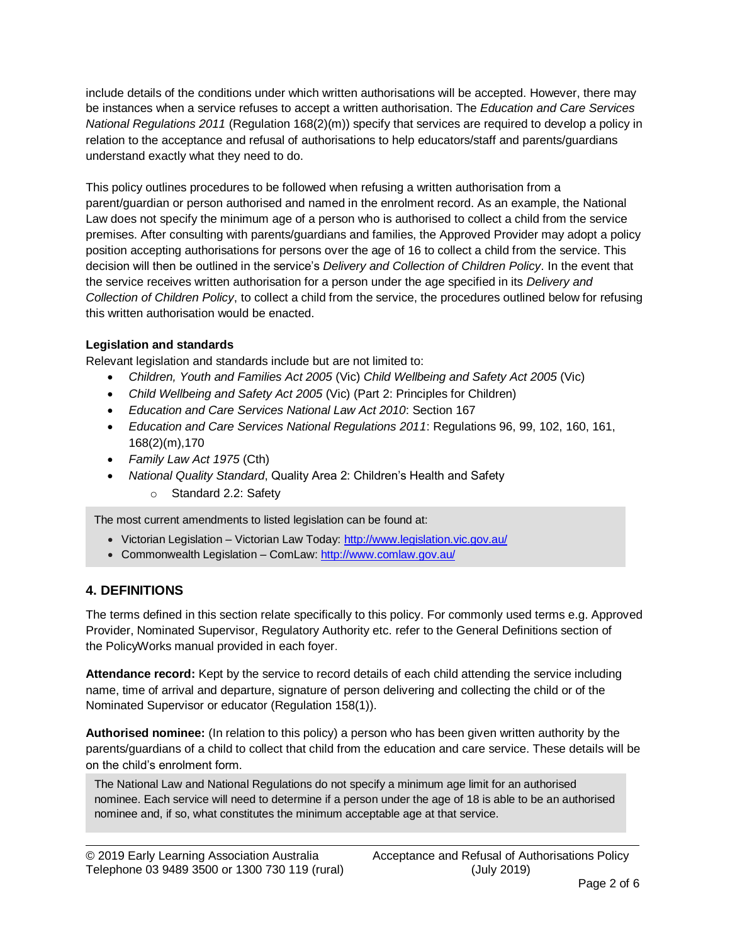include details of the conditions under which written authorisations will be accepted. However, there may be instances when a service refuses to accept a written authorisation. The *Education and Care Services National Regulations 2011* (Regulation 168(2)(m)) specify that services are required to develop a policy in relation to the acceptance and refusal of authorisations to help educators/staff and parents/guardians understand exactly what they need to do.

This policy outlines procedures to be followed when refusing a written authorisation from a parent/guardian or person authorised and named in the enrolment record. As an example, the National Law does not specify the minimum age of a person who is authorised to collect a child from the service premises. After consulting with parents/guardians and families, the Approved Provider may adopt a policy position accepting authorisations for persons over the age of 16 to collect a child from the service. This decision will then be outlined in the service's *Delivery and Collection of Children Policy*. In the event that the service receives written authorisation for a person under the age specified in its *Delivery and Collection of Children Policy*, to collect a child from the service, the procedures outlined below for refusing this written authorisation would be enacted.

### **Legislation and standards**

Relevant legislation and standards include but are not limited to:

- *Children, Youth and Families Act 2005* (Vic) *Child Wellbeing and Safety Act 2005* (Vic)
- *Child Wellbeing and Safety Act 2005* (Vic) (Part 2: Principles for Children)
- *Education and Care Services National Law Act 2010*: Section 167
- *Education and Care Services National Regulations 2011*: Regulations 96, 99, 102, 160, 161, 168(2)(m),170
- *Family Law Act 1975* (Cth)
- *National Quality Standard*, Quality Area 2: Children's Health and Safety
	- o Standard 2.2: Safety

The most current amendments to listed legislation can be found at:

- Victorian Legislation Victorian Law Today:<http://www.legislation.vic.gov.au/>
- Commonwealth Legislation ComLaw: <http://www.comlaw.gov.au/>

## **4. DEFINITIONS**

The terms defined in this section relate specifically to this policy. For commonly used terms e.g. Approved Provider, Nominated Supervisor, Regulatory Authority etc. refer to the General Definitions section of the PolicyWorks manual provided in each foyer.

**Attendance record:** Kept by the service to record details of each child attending the service including name, time of arrival and departure, signature of person delivering and collecting the child or of the Nominated Supervisor or educator (Regulation 158(1)).

**Authorised nominee:** (In relation to this policy) a person who has been given written authority by the parents/guardians of a child to collect that child from the education and care service. These details will be on the child's enrolment form.

The National Law and National Regulations do not specify a minimum age limit for an authorised nominee. Each service will need to determine if a person under the age of 18 is able to be an authorised nominee and, if so, what constitutes the minimum acceptable age at that service.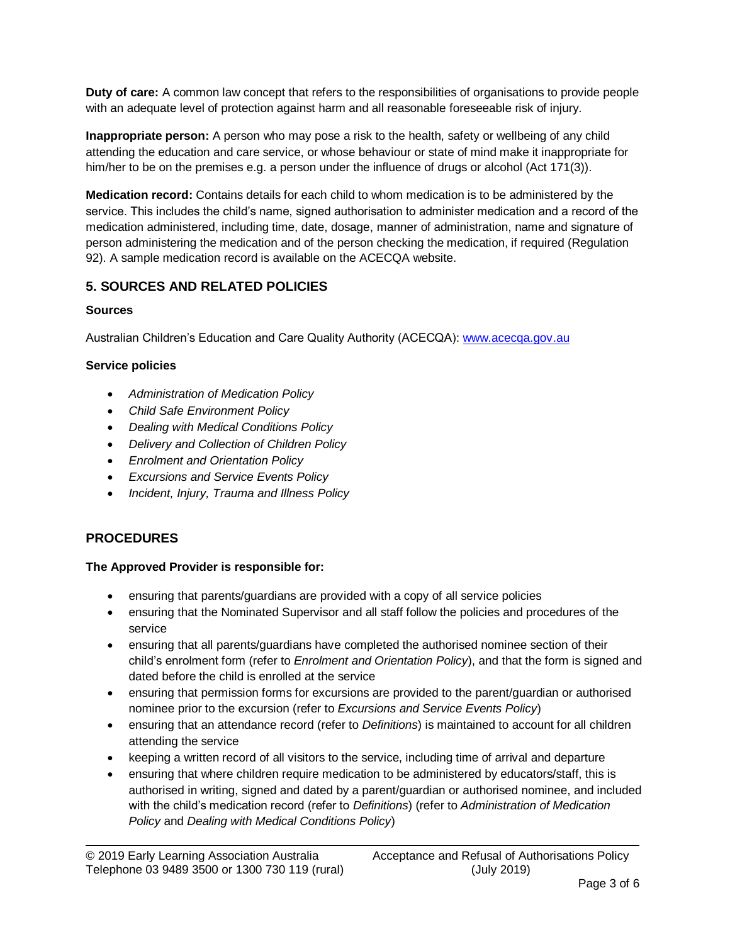**Duty of care:** A common law concept that refers to the responsibilities of organisations to provide people with an adequate level of protection against harm and all reasonable foreseeable risk of injury.

**Inappropriate person:** A person who may pose a risk to the health, safety or wellbeing of any child attending the education and care service, or whose behaviour or state of mind make it inappropriate for him/her to be on the premises e.g. a person under the influence of drugs or alcohol (Act 171(3)).

**Medication record:** Contains details for each child to whom medication is to be administered by the service. This includes the child's name, signed authorisation to administer medication and a record of the medication administered, including time, date, dosage, manner of administration, name and signature of person administering the medication and of the person checking the medication, if required (Regulation 92). A sample medication record is available on the ACECQA website.

# **5. SOURCES AND RELATED POLICIES**

## **Sources**

Australian Children's Education and Care Quality Authority (ACECQA): [www.acecqa.gov.au](http://www.acecqa.gov.au/)

## **Service policies**

- *Administration of Medication Policy*
- *Child Safe Environment Policy*
- *Dealing with Medical Conditions Policy*
- *Delivery and Collection of Children Policy*
- *Enrolment and Orientation Policy*
- *Excursions and Service Events Policy*
- *Incident, Injury, Trauma and Illness Policy*

## **PROCEDURES**

### **The Approved Provider is responsible for:**

- ensuring that parents/guardians are provided with a copy of all service policies
- ensuring that the Nominated Supervisor and all staff follow the policies and procedures of the service
- ensuring that all parents/guardians have completed the authorised nominee section of their child's enrolment form (refer to *Enrolment and Orientation Policy*), and that the form is signed and dated before the child is enrolled at the service
- ensuring that permission forms for excursions are provided to the parent/guardian or authorised nominee prior to the excursion (refer to *Excursions and Service Events Policy*)
- ensuring that an attendance record (refer to *Definitions*) is maintained to account for all children attending the service
- keeping a written record of all visitors to the service, including time of arrival and departure
- ensuring that where children require medication to be administered by educators/staff, this is authorised in writing, signed and dated by a parent/guardian or authorised nominee, and included with the child's medication record (refer to *Definitions*) (refer to *Administration of Medication Policy* and *Dealing with Medical Conditions Policy*)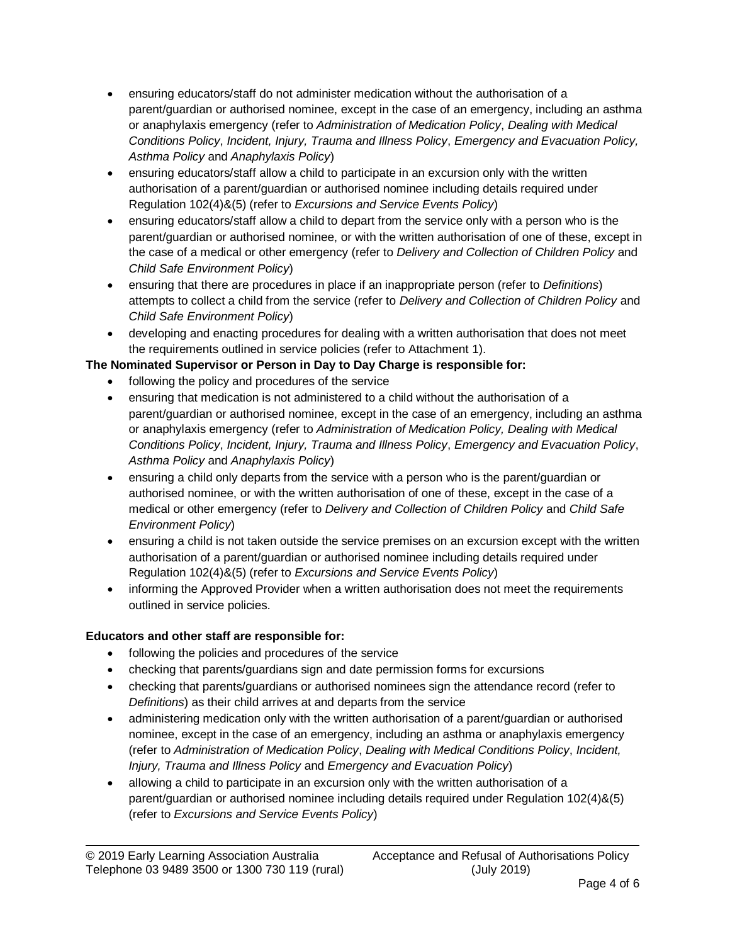- ensuring educators/staff do not administer medication without the authorisation of a parent/guardian or authorised nominee, except in the case of an emergency, including an asthma or anaphylaxis emergency (refer to *Administration of Medication Policy*, *Dealing with Medical Conditions Policy*, *Incident, Injury, Trauma and Illness Policy*, *Emergency and Evacuation Policy, Asthma Policy* and *Anaphylaxis Policy*)
- ensuring educators/staff allow a child to participate in an excursion only with the written authorisation of a parent/guardian or authorised nominee including details required under Regulation 102(4)&(5) (refer to *Excursions and Service Events Policy*)
- ensuring educators/staff allow a child to depart from the service only with a person who is the parent/guardian or authorised nominee, or with the written authorisation of one of these, except in the case of a medical or other emergency (refer to *Delivery and Collection of Children Policy* and *Child Safe Environment Policy*)
- ensuring that there are procedures in place if an inappropriate person (refer to *Definitions*) attempts to collect a child from the service (refer to *Delivery and Collection of Children Policy* and *Child Safe Environment Policy*)
- developing and enacting procedures for dealing with a written authorisation that does not meet the requirements outlined in service policies (refer to Attachment 1).

# **The Nominated Supervisor or Person in Day to Day Charge is responsible for:**

- following the policy and procedures of the service
- ensuring that medication is not administered to a child without the authorisation of a parent/guardian or authorised nominee, except in the case of an emergency, including an asthma or anaphylaxis emergency (refer to *Administration of Medication Policy, Dealing with Medical Conditions Policy*, *Incident, Injury, Trauma and Illness Policy*, *Emergency and Evacuation Policy*, *Asthma Policy* and *Anaphylaxis Policy*)
- ensuring a child only departs from the service with a person who is the parent/guardian or authorised nominee, or with the written authorisation of one of these, except in the case of a medical or other emergency (refer to *Delivery and Collection of Children Policy* and *Child Safe Environment Policy*)
- ensuring a child is not taken outside the service premises on an excursion except with the written authorisation of a parent/guardian or authorised nominee including details required under Regulation 102(4)&(5) (refer to *Excursions and Service Events Policy*)
- informing the Approved Provider when a written authorisation does not meet the requirements outlined in service policies.

## **Educators and other staff are responsible for:**

- following the policies and procedures of the service
- checking that parents/guardians sign and date permission forms for excursions
- checking that parents/guardians or authorised nominees sign the attendance record (refer to *Definitions*) as their child arrives at and departs from the service
- administering medication only with the written authorisation of a parent/guardian or authorised nominee, except in the case of an emergency, including an asthma or anaphylaxis emergency (refer to *Administration of Medication Policy*, *Dealing with Medical Conditions Policy*, *Incident, Injury, Trauma and Illness Policy* and *Emergency and Evacuation Policy*)
- allowing a child to participate in an excursion only with the written authorisation of a parent/guardian or authorised nominee including details required under Regulation 102(4)&(5) (refer to *Excursions and Service Events Policy*)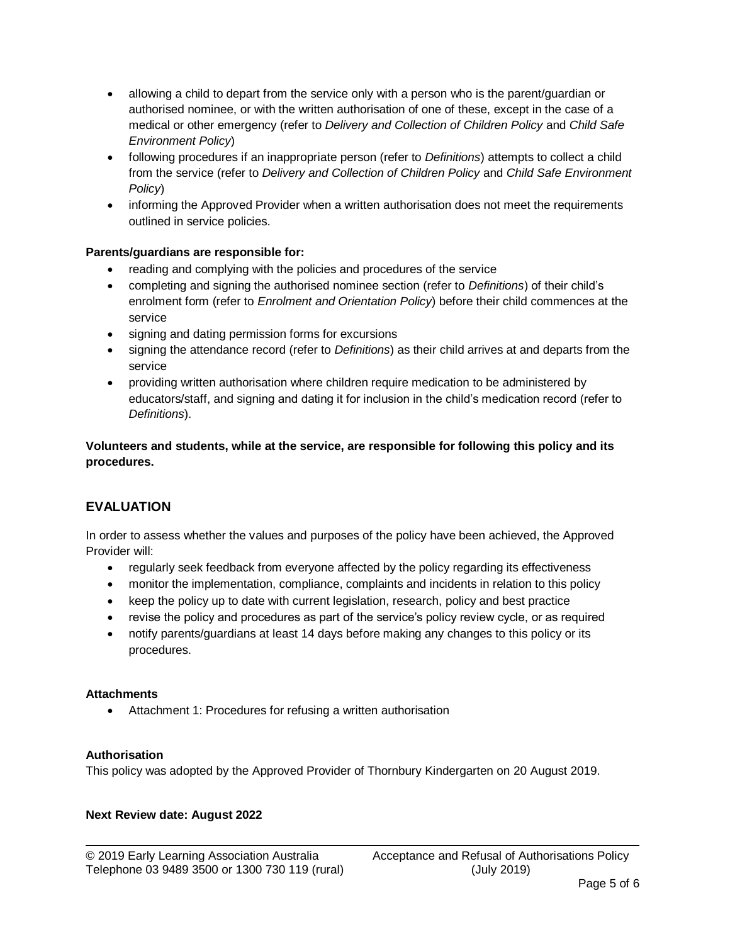- allowing a child to depart from the service only with a person who is the parent/guardian or authorised nominee, or with the written authorisation of one of these, except in the case of a medical or other emergency (refer to *Delivery and Collection of Children Policy* and *Child Safe Environment Policy*)
- following procedures if an inappropriate person (refer to *Definitions*) attempts to collect a child from the service (refer to *Delivery and Collection of Children Policy* and *Child Safe Environment Policy*)
- informing the Approved Provider when a written authorisation does not meet the requirements outlined in service policies.

#### **Parents/guardians are responsible for:**

- reading and complying with the policies and procedures of the service
- completing and signing the authorised nominee section (refer to *Definitions*) of their child's enrolment form (refer to *Enrolment and Orientation Policy*) before their child commences at the service
- signing and dating permission forms for excursions
- signing the attendance record (refer to *Definitions*) as their child arrives at and departs from the service
- providing written authorisation where children require medication to be administered by educators/staff, and signing and dating it for inclusion in the child's medication record (refer to *Definitions*).

**Volunteers and students, while at the service, are responsible for following this policy and its procedures.**

## **EVALUATION**

In order to assess whether the values and purposes of the policy have been achieved, the Approved Provider will:

- regularly seek feedback from everyone affected by the policy regarding its effectiveness
- monitor the implementation, compliance, complaints and incidents in relation to this policy
- keep the policy up to date with current legislation, research, policy and best practice
- revise the policy and procedures as part of the service's policy review cycle, or as required
- notify parents/guardians at least 14 days before making any changes to this policy or its procedures.

#### **Attachments**

Attachment 1: Procedures for refusing a written authorisation

#### **Authorisation**

This policy was adopted by the Approved Provider of Thornbury Kindergarten on 20 August 2019.

#### **Next Review date: August 2022**